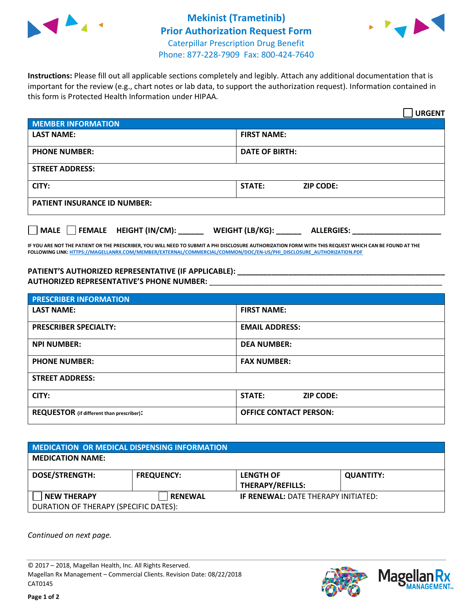



**Instructions:** Please fill out all applicable sections completely and legibly. Attach any additional documentation that is important for the review (e.g., chart notes or lab data, to support the authorization request). Information contained in this form is Protected Health Information under HIPAA.

|                                       | <b>URGENT</b>                        |  |  |
|---------------------------------------|--------------------------------------|--|--|
| <b>MEMBER INFORMATION</b>             |                                      |  |  |
| <b>LAST NAME:</b>                     | <b>FIRST NAME:</b>                   |  |  |
| <b>PHONE NUMBER:</b>                  | <b>DATE OF BIRTH:</b>                |  |  |
| <b>STREET ADDRESS:</b>                |                                      |  |  |
| CITY:                                 | STATE:<br><b>ZIP CODE:</b>           |  |  |
| <b>PATIENT INSURANCE ID NUMBER:</b>   |                                      |  |  |
| FEMALE HEIGHT (IN/CM):<br><b>MALE</b> | WEIGHT (LB/KG):<br><b>ALLERGIES:</b> |  |  |

**IF YOU ARE NOT THE PATIENT OR THE PRESCRIBER, YOU WILL NEED TO SUBMIT A PHI DISCLOSURE AUTHORIZATION FORM WITH THIS REQUEST WHICH CAN BE FOUND AT THE FOLLOWING LINK[: HTTPS://MAGELLANRX.COM/MEMBER/EXTERNAL/COMMERCIAL/COMMON/DOC/EN-US/PHI\\_DISCLOSURE\\_AUTHORIZATION.PDF](https://magellanrx.com/member/external/commercial/common/doc/en-us/PHI_Disclosure_Authorization.pdf)**

**PATIENT'S AUTHORIZED REPRESENTATIVE (IF APPLICABLE): \_\_\_\_\_\_\_\_\_\_\_\_\_\_\_\_\_\_\_\_\_\_\_\_\_\_\_\_\_\_\_\_\_\_\_\_\_\_\_\_\_\_\_\_\_\_\_\_\_ AUTHORIZED REPRESENTATIVE'S PHONE NUMBER:** \_\_\_\_\_\_\_\_\_\_\_\_\_\_\_\_\_\_\_\_\_\_\_\_\_\_\_\_\_\_\_\_\_\_\_\_\_\_\_\_\_\_\_\_\_\_\_\_\_\_\_\_\_\_\_

| <b>PRESCRIBER INFORMATION</b>             |                               |  |  |
|-------------------------------------------|-------------------------------|--|--|
| <b>LAST NAME:</b>                         | <b>FIRST NAME:</b>            |  |  |
| <b>PRESCRIBER SPECIALTY:</b>              | <b>EMAIL ADDRESS:</b>         |  |  |
| <b>NPI NUMBER:</b>                        | <b>DEA NUMBER:</b>            |  |  |
| <b>PHONE NUMBER:</b>                      | <b>FAX NUMBER:</b>            |  |  |
| <b>STREET ADDRESS:</b>                    |                               |  |  |
| CITY:                                     | STATE:<br><b>ZIP CODE:</b>    |  |  |
| REQUESTOR (if different than prescriber): | <b>OFFICE CONTACT PERSON:</b> |  |  |

| <b>MEDICATION OR MEDICAL DISPENSING INFORMATION</b> |                   |                                             |                  |  |  |
|-----------------------------------------------------|-------------------|---------------------------------------------|------------------|--|--|
| <b>MEDICATION NAME:</b>                             |                   |                                             |                  |  |  |
| <b>DOSE/STRENGTH:</b>                               | <b>FREQUENCY:</b> | <b>LENGTH OF</b><br><b>THERAPY/REFILLS:</b> | <b>QUANTITY:</b> |  |  |
| <b>NEW THERAPY</b>                                  | <b>RENEWAL</b>    | <b>IF RENEWAL: DATE THERAPY INITIATED:</b>  |                  |  |  |
| DURATION OF THERAPY (SPECIFIC DATES):               |                   |                                             |                  |  |  |

*Continued on next page.*

© 2017 – 2018, Magellan Health, Inc. All Rights Reserved. Magellan Rx Management – Commercial Clients. Revision Date: 08/22/2018 CAT0145